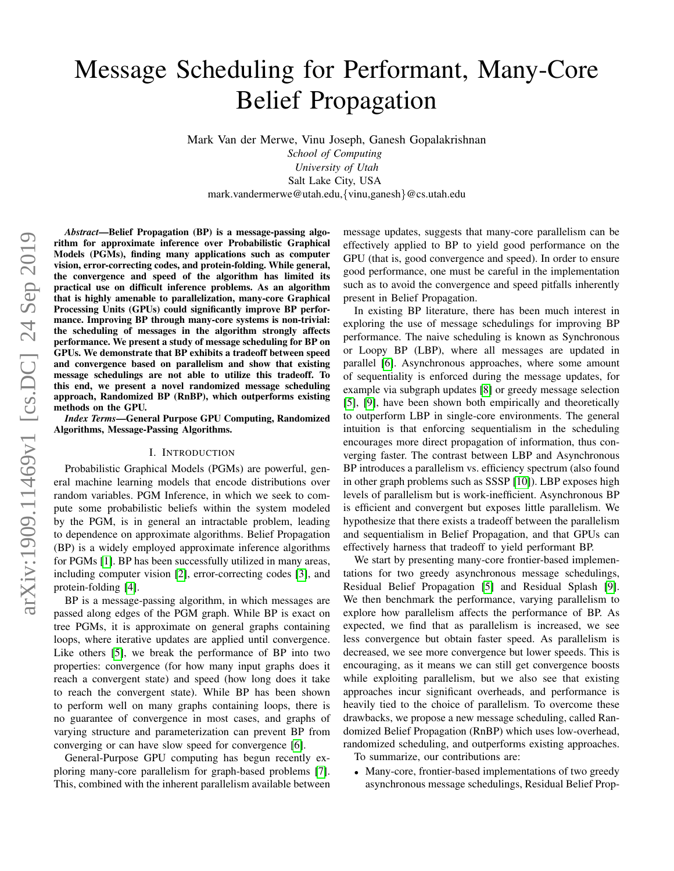# Message Scheduling for Performant, Many-Core Belief Propagation

Mark Van der Merwe, Vinu Joseph, Ganesh Gopalakrishnan

*School of Computing University of Utah* Salt Lake City, USA mark.vandermerwe@utah.edu,{vinu,ganesh}@cs.utah.edu

*Abstract*—Belief Propagation (BP) is a message-passing algorithm for approximate inference over Probabilistic Graphical Models (PGMs), finding many applications such as computer vision, error-correcting codes, and protein-folding. While general, the convergence and speed of the algorithm has limited its practical use on difficult inference problems. As an algorithm that is highly amenable to parallelization, many-core Graphical Processing Units (GPUs) could significantly improve BP performance. Improving BP through many-core systems is non-trivial: the scheduling of messages in the algorithm strongly affects performance. We present a study of message scheduling for BP on GPUs. We demonstrate that BP exhibits a tradeoff between speed and convergence based on parallelism and show that existing message schedulings are not able to utilize this tradeoff. To this end, we present a novel randomized message scheduling approach, Randomized BP (RnBP), which outperforms existing methods on the GPU.

*Index Terms*—General Purpose GPU Computing, Randomized Algorithms, Message-Passing Algorithms.

#### I. INTRODUCTION

Probabilistic Graphical Models (PGMs) are powerful, general machine learning models that encode distributions over random variables. PGM Inference, in which we seek to compute some probabilistic beliefs within the system modeled by the PGM, is in general an intractable problem, leading to dependence on approximate algorithms. Belief Propagation (BP) is a widely employed approximate inference algorithms for PGMs [\[1\]](#page-6-0). BP has been successfully utilized in many areas, including computer vision [\[2\]](#page-6-1), error-correcting codes [\[3\]](#page-6-2), and protein-folding [\[4\]](#page-6-3).

BP is a message-passing algorithm, in which messages are passed along edges of the PGM graph. While BP is exact on tree PGMs, it is approximate on general graphs containing loops, where iterative updates are applied until convergence. Like others [\[5\]](#page-6-4), we break the performance of BP into two properties: convergence (for how many input graphs does it reach a convergent state) and speed (how long does it take to reach the convergent state). While BP has been shown to perform well on many graphs containing loops, there is no guarantee of convergence in most cases, and graphs of varying structure and parameterization can prevent BP from converging or can have slow speed for convergence [\[6\]](#page-6-5).

General-Purpose GPU computing has begun recently exploring many-core parallelism for graph-based problems [\[7\]](#page-6-6). This, combined with the inherent parallelism available between message updates, suggests that many-core parallelism can be effectively applied to BP to yield good performance on the GPU (that is, good convergence and speed). In order to ensure good performance, one must be careful in the implementation such as to avoid the convergence and speed pitfalls inherently present in Belief Propagation.

In existing BP literature, there has been much interest in exploring the use of message schedulings for improving BP performance. The naive scheduling is known as Synchronous or Loopy BP (LBP), where all messages are updated in parallel [\[6\]](#page-6-5). Asynchronous approaches, where some amount of sequentiality is enforced during the message updates, for example via subgraph updates [\[8\]](#page-6-7) or greedy message selection [\[5\]](#page-6-4), [\[9\]](#page-6-8), have been shown both empirically and theoretically to outperform LBP in single-core environments. The general intuition is that enforcing sequentialism in the scheduling encourages more direct propagation of information, thus converging faster. The contrast between LBP and Asynchronous BP introduces a parallelism vs. efficiency spectrum (also found in other graph problems such as SSSP [\[10\]](#page-6-9)). LBP exposes high levels of parallelism but is work-inefficient. Asynchronous BP is efficient and convergent but exposes little parallelism. We hypothesize that there exists a tradeoff between the parallelism and sequentialism in Belief Propagation, and that GPUs can effectively harness that tradeoff to yield performant BP.

We start by presenting many-core frontier-based implementations for two greedy asynchronous message schedulings, Residual Belief Propagation [\[5\]](#page-6-4) and Residual Splash [\[9\]](#page-6-8). We then benchmark the performance, varying parallelism to explore how parallelism affects the performance of BP. As expected, we find that as parallelism is increased, we see less convergence but obtain faster speed. As parallelism is decreased, we see more convergence but lower speeds. This is encouraging, as it means we can still get convergence boosts while exploiting parallelism, but we also see that existing approaches incur significant overheads, and performance is heavily tied to the choice of parallelism. To overcome these drawbacks, we propose a new message scheduling, called Randomized Belief Propagation (RnBP) which uses low-overhead, randomized scheduling, and outperforms existing approaches.

To summarize, our contributions are:

• Many-core, frontier-based implementations of two greedy asynchronous message schedulings, Residual Belief Prop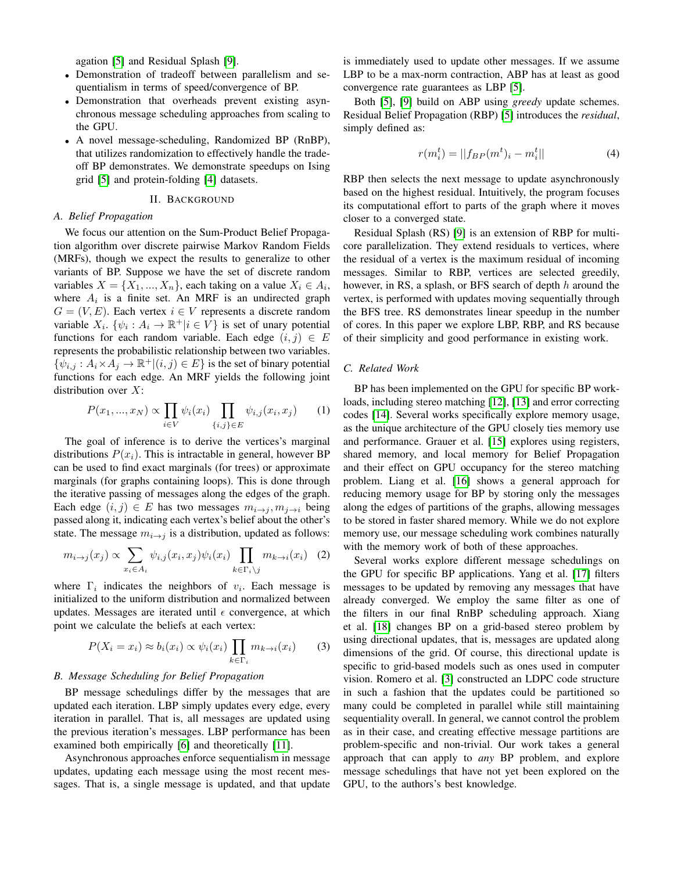agation [\[5\]](#page-6-4) and Residual Splash [\[9\]](#page-6-8).

- Demonstration of tradeoff between parallelism and sequentialism in terms of speed/convergence of BP.
- Demonstration that overheads prevent existing asynchronous message scheduling approaches from scaling to the GPU.
- A novel message-scheduling, Randomized BP (RnBP), that utilizes randomization to effectively handle the tradeoff BP demonstrates. We demonstrate speedups on Ising grid [\[5\]](#page-6-4) and protein-folding [\[4\]](#page-6-3) datasets.

# II. BACKGROUND

# *A. Belief Propagation*

We focus our attention on the Sum-Product Belief Propagation algorithm over discrete pairwise Markov Random Fields (MRFs), though we expect the results to generalize to other variants of BP. Suppose we have the set of discrete random variables  $X = \{X_1, ..., X_n\}$ , each taking on a value  $X_i \in A_i$ , where  $A_i$  is a finite set. An MRF is an undirected graph  $G = (V, E)$ . Each vertex  $i \in V$  represents a discrete random variable  $X_i$ .  $\{\psi_i : A_i \to \mathbb{R}^+ | i \in V\}$  is set of unary potential functions for each random variable. Each edge  $(i, j) \in E$ represents the probabilistic relationship between two variables.  $\{\psi_{i,j}: A_i \times A_j \to \mathbb{R}^+ | (i,j) \in E\}$  is the set of binary potential functions for each edge. An MRF yields the following joint distribution over  $X$ :

$$
P(x_1, ..., x_N) \propto \prod_{i \in V} \psi_i(x_i) \prod_{\{i,j\} \in E} \psi_{i,j}(x_i, x_j) \tag{1}
$$

The goal of inference is to derive the vertices's marginal distributions  $P(x_i)$ . This is intractable in general, however BP can be used to find exact marginals (for trees) or approximate marginals (for graphs containing loops). This is done through the iterative passing of messages along the edges of the graph. Each edge  $(i, j) \in E$  has two messages  $m_{i \to j}, m_{j \to i}$  being passed along it, indicating each vertex's belief about the other's state. The message  $m_{i\rightarrow j}$  is a distribution, updated as follows:

$$
m_{i \to j}(x_j) \propto \sum_{x_i \in A_i} \psi_{i,j}(x_i, x_j) \psi_i(x_i) \prod_{k \in \Gamma_i \backslash j} m_{k \to i}(x_i) \quad (2)
$$

where  $\Gamma_i$  indicates the neighbors of  $v_i$ . Each message is initialized to the uniform distribution and normalized between updates. Messages are iterated until  $\epsilon$  convergence, at which point we calculate the beliefs at each vertex:

$$
P(X_i = x_i) \approx b_i(x_i) \propto \psi_i(x_i) \prod_{k \in \Gamma_i} m_{k \to i}(x_i)
$$
 (3)

# *B. Message Scheduling for Belief Propagation*

BP message schedulings differ by the messages that are updated each iteration. LBP simply updates every edge, every iteration in parallel. That is, all messages are updated using the previous iteration's messages. LBP performance has been examined both empirically [\[6\]](#page-6-5) and theoretically [\[11\]](#page-6-10).

Asynchronous approaches enforce sequentialism in message updates, updating each message using the most recent messages. That is, a single message is updated, and that update

is immediately used to update other messages. If we assume LBP to be a max-norm contraction, ABP has at least as good convergence rate guarantees as LBP [\[5\]](#page-6-4).

Both [\[5\]](#page-6-4), [\[9\]](#page-6-8) build on ABP using *greedy* update schemes. Residual Belief Propagation (RBP) [\[5\]](#page-6-4) introduces the *residual*, simply defined as:

$$
r(m_i^t) = ||f_{BP}(m^t)_i - m_i^t|| \tag{4}
$$

RBP then selects the next message to update asynchronously based on the highest residual. Intuitively, the program focuses its computational effort to parts of the graph where it moves closer to a converged state.

Residual Splash (RS) [\[9\]](#page-6-8) is an extension of RBP for multicore parallelization. They extend residuals to vertices, where the residual of a vertex is the maximum residual of incoming messages. Similar to RBP, vertices are selected greedily, however, in RS, a splash, or BFS search of depth  $h$  around the vertex, is performed with updates moving sequentially through the BFS tree. RS demonstrates linear speedup in the number of cores. In this paper we explore LBP, RBP, and RS because of their simplicity and good performance in existing work.

# *C. Related Work*

BP has been implemented on the GPU for specific BP workloads, including stereo matching [\[12\]](#page-6-11), [\[13\]](#page-6-12) and error correcting codes [\[14\]](#page-6-13). Several works specifically explore memory usage, as the unique architecture of the GPU closely ties memory use and performance. Grauer et al. [\[15\]](#page-6-14) explores using registers, shared memory, and local memory for Belief Propagation and their effect on GPU occupancy for the stereo matching problem. Liang et al. [\[16\]](#page-6-15) shows a general approach for reducing memory usage for BP by storing only the messages along the edges of partitions of the graphs, allowing messages to be stored in faster shared memory. While we do not explore memory use, our message scheduling work combines naturally with the memory work of both of these approaches.

Several works explore different message schedulings on the GPU for specific BP applications. Yang et al. [\[17\]](#page-6-16) filters messages to be updated by removing any messages that have already converged. We employ the same filter as one of the filters in our final RnBP scheduling approach. Xiang et al. [\[18\]](#page-6-17) changes BP on a grid-based stereo problem by using directional updates, that is, messages are updated along dimensions of the grid. Of course, this directional update is specific to grid-based models such as ones used in computer vision. Romero et al. [\[3\]](#page-6-2) constructed an LDPC code structure in such a fashion that the updates could be partitioned so many could be completed in parallel while still maintaining sequentiality overall. In general, we cannot control the problem as in their case, and creating effective message partitions are problem-specific and non-trivial. Our work takes a general approach that can apply to *any* BP problem, and explore message schedulings that have not yet been explored on the GPU, to the authors's best knowledge.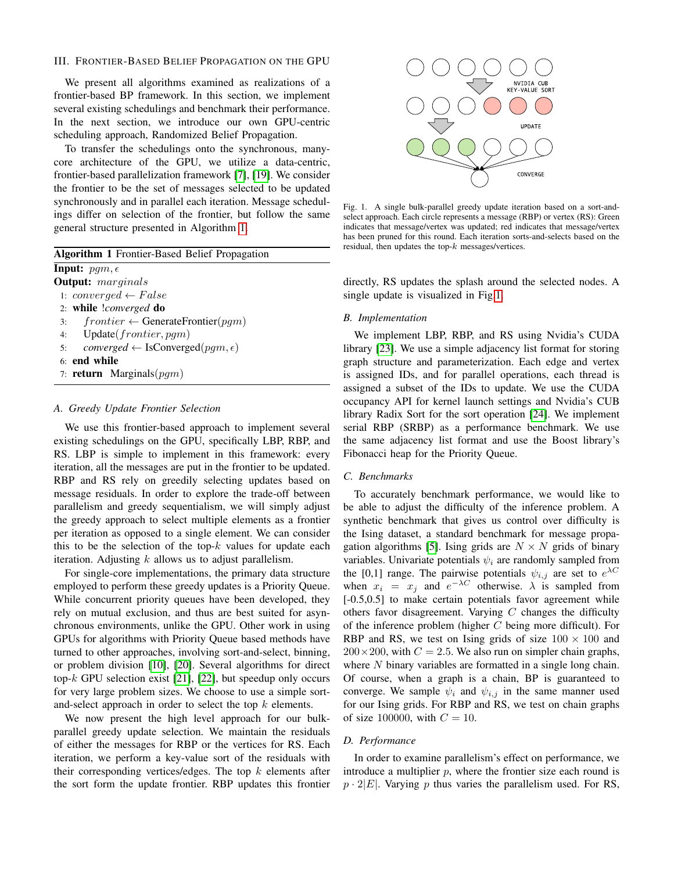# <span id="page-2-2"></span>III. FRONTIER-BASED BELIEF PROPAGATION ON THE GPU

We present all algorithms examined as realizations of a frontier-based BP framework. In this section, we implement several existing schedulings and benchmark their performance. In the next section, we introduce our own GPU-centric scheduling approach, Randomized Belief Propagation.

To transfer the schedulings onto the synchronous, manycore architecture of the GPU, we utilize a data-centric, frontier-based parallelization framework [\[7\]](#page-6-6), [\[19\]](#page-6-18). We consider the frontier to be the set of messages selected to be updated synchronously and in parallel each iteration. Message schedulings differ on selection of the frontier, but follow the same general structure presented in Algorithm [1.](#page-2-0)

<span id="page-2-0"></span>

| <b>Algorithm 1</b> Frontier-Based Belief Propagation              |  |  |  |
|-------------------------------------------------------------------|--|--|--|
| <b>Input:</b> $pqm, \epsilon$                                     |  |  |  |
| <b>Output:</b> marginals                                          |  |  |  |
| 1: converged $\leftarrow$ False                                   |  |  |  |
| 2: while <i>converged</i> do                                      |  |  |  |
| $frontier \leftarrow$ Generate Frontier (pgm)<br>3:               |  |  |  |
| 4: Update( <i>frontier</i> , <i>pgm</i> )                         |  |  |  |
| <i>converged</i> $\leftarrow$ IsConverged(pqm, $\epsilon$ )<br>5: |  |  |  |
| 6: end while                                                      |  |  |  |
| 7: <b>return</b> Marginals( $pqm$ )                               |  |  |  |
|                                                                   |  |  |  |

#### *A. Greedy Update Frontier Selection*

We use this frontier-based approach to implement several existing schedulings on the GPU, specifically LBP, RBP, and RS. LBP is simple to implement in this framework: every iteration, all the messages are put in the frontier to be updated. RBP and RS rely on greedily selecting updates based on message residuals. In order to explore the trade-off between parallelism and greedy sequentialism, we will simply adjust the greedy approach to select multiple elements as a frontier per iteration as opposed to a single element. We can consider this to be the selection of the top- $k$  values for update each iteration. Adjusting  $k$  allows us to adjust parallelism.

For single-core implementations, the primary data structure employed to perform these greedy updates is a Priority Queue. While concurrent priority queues have been developed, they rely on mutual exclusion, and thus are best suited for asynchronous environments, unlike the GPU. Other work in using GPUs for algorithms with Priority Queue based methods have turned to other approaches, involving sort-and-select, binning, or problem division [\[10\]](#page-6-9), [\[20\]](#page-6-19). Several algorithms for direct top- $k$  GPU selection exist [\[21\]](#page-6-20), [\[22\]](#page-6-21), but speedup only occurs for very large problem sizes. We choose to use a simple sortand-select approach in order to select the top  $k$  elements.

We now present the high level approach for our bulkparallel greedy update selection. We maintain the residuals of either the messages for RBP or the vertices for RS. Each iteration, we perform a key-value sort of the residuals with their corresponding vertices/edges. The top  $k$  elements after the sort form the update frontier. RBP updates this frontier



<span id="page-2-1"></span>Fig. 1. A single bulk-parallel greedy update iteration based on a sort-andselect approach. Each circle represents a message (RBP) or vertex (RS): Green indicates that message/vertex was updated; red indicates that message/vertex has been pruned for this round. Each iteration sorts-and-selects based on the residual, then updates the top- $k$  messages/vertices.

directly, RS updates the splash around the selected nodes. A single update is visualized in Fig[.1.](#page-2-1)

#### <span id="page-2-3"></span>*B. Implementation*

We implement LBP, RBP, and RS using Nvidia's CUDA library [\[23\]](#page-6-22). We use a simple adjacency list format for storing graph structure and parameterization. Each edge and vertex is assigned IDs, and for parallel operations, each thread is assigned a subset of the IDs to update. We use the CUDA occupancy API for kernel launch settings and Nvidia's CUB library Radix Sort for the sort operation [\[24\]](#page-6-23). We implement serial RBP (SRBP) as a performance benchmark. We use the same adjacency list format and use the Boost library's Fibonacci heap for the Priority Queue.

# <span id="page-2-4"></span>*C. Benchmarks*

To accurately benchmark performance, we would like to be able to adjust the difficulty of the inference problem. A synthetic benchmark that gives us control over difficulty is the Ising dataset, a standard benchmark for message propa-gation algorithms [\[5\]](#page-6-4). Ising grids are  $N \times N$  grids of binary variables. Univariate potentials  $\psi_i$  are randomly sampled from the [0,1] range. The pairwise potentials  $\psi_{i,j}$  are set to  $e^{\lambda C}$ when  $x_i = x_j$  and  $e^{-\lambda C}$  otherwise.  $\lambda$  is sampled from [ $-0.5,0.5$ ] to make certain potentials favor agreement while others favor disagreement. Varying  $C$  changes the difficulty of the inference problem (higher  $C$  being more difficult). For RBP and RS, we test on Ising grids of size  $100 \times 100$  and  $200 \times 200$ , with  $C = 2.5$ . We also run on simpler chain graphs, where  $N$  binary variables are formatted in a single long chain. Of course, when a graph is a chain, BP is guaranteed to converge. We sample  $\psi_i$  and  $\psi_{i,j}$  in the same manner used for our Ising grids. For RBP and RS, we test on chain graphs of size 100000, with  $C = 10$ .

#### *D. Performance*

In order to examine parallelism's effect on performance, we introduce a multiplier  $p$ , where the frontier size each round is  $p \cdot 2|E|$ . Varying p thus varies the parallelism used. For RS,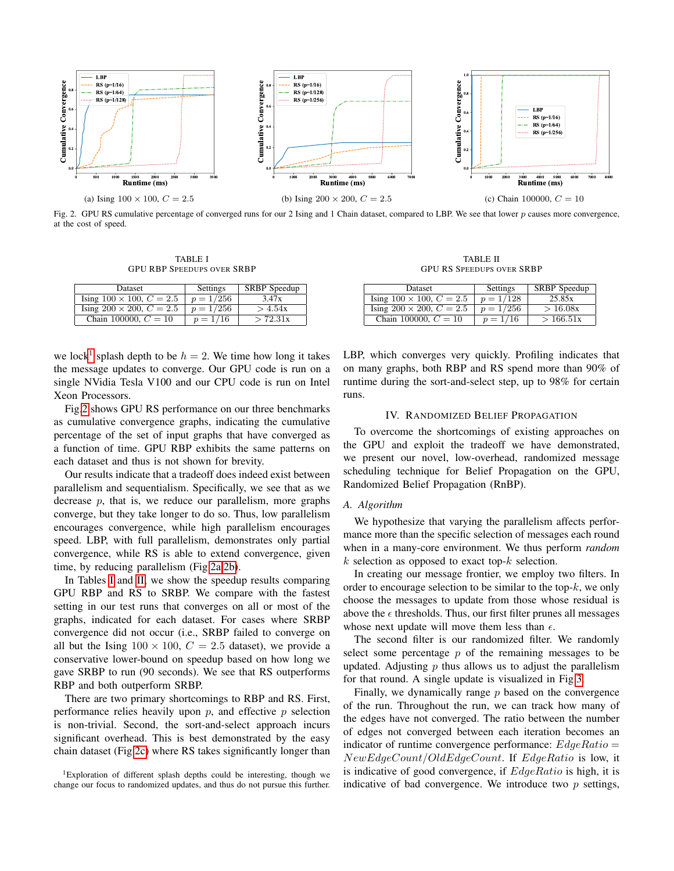<span id="page-3-2"></span>

<span id="page-3-1"></span>Fig. 2. GPU RS cumulative percentage of converged runs for our 2 Ising and 1 Chain dataset, compared to LBP. We see that lower p causes more convergence, at the cost of speed.

<span id="page-3-3"></span>TABLE I GPU RBP SPEEDUPS OVER SRBP

<span id="page-3-4"></span>

| Dataset                            | Settings    | <b>SRBP</b> Speedup |
|------------------------------------|-------------|---------------------|
| Ising $100 \times 100$ , $C = 2.5$ | $p = 1/256$ | 3.47x               |
| Ising $200 \times 200$ , $C = 2.5$ | $p = 1/256$ | >4.54x              |
| Chain 100000, $C = 10$             | $p = 1/16$  | > 72.31x            |

we lock<sup>[1](#page-3-0)</sup> splash depth to be  $h = 2$ . We time how long it takes the message updates to converge. Our GPU code is run on a single NVidia Tesla V100 and our CPU code is run on Intel Xeon Processors.

Fig[.2](#page-3-1) shows GPU RS performance on our three benchmarks as cumulative convergence graphs, indicating the cumulative percentage of the set of input graphs that have converged as a function of time. GPU RBP exhibits the same patterns on each dataset and thus is not shown for brevity.

Our results indicate that a tradeoff does indeed exist between parallelism and sequentialism. Specifically, we see that as we decrease  $p$ , that is, we reduce our parallelism, more graphs converge, but they take longer to do so. Thus, low parallelism encourages convergence, while high parallelism encourages speed. LBP, with full parallelism, demonstrates only partial convergence, while RS is able to extend convergence, given time, by reducing parallelism (Fig[.2a,](#page-3-2)[2b\)](#page-3-3).

In Tables [I](#page-3-4) and [II,](#page-3-5) we show the speedup results comparing GPU RBP and RS to SRBP. We compare with the fastest setting in our test runs that converges on all or most of the graphs, indicated for each dataset. For cases where SRBP convergence did not occur (i.e., SRBP failed to converge on all but the Ising  $100 \times 100$ ,  $C = 2.5$  dataset), we provide a conservative lower-bound on speedup based on how long we gave SRBP to run (90 seconds). We see that RS outperforms RBP and both outperform SRBP.

There are two primary shortcomings to RBP and RS. First, performance relies heavily upon  $p$ , and effective  $p$  selection is non-trivial. Second, the sort-and-select approach incurs significant overhead. This is best demonstrated by the easy chain dataset (Fig[.2c\)](#page-3-6) where RS takes significantly longer than

<span id="page-3-0"></span><sup>1</sup>Exploration of different splash depths could be interesting, though we change our focus to randomized updates, and thus do not pursue this further.

<span id="page-3-6"></span>TABLE II GPU RS SPEEDUPS OVER SRBP

<span id="page-3-5"></span>

| <b>Dataset</b>                     | Settings    | <b>SRBP</b> Speedup |
|------------------------------------|-------------|---------------------|
| Ising $100 \times 100$ , $C = 2.5$ | $p = 1/128$ | 25.85x              |
| Ising $200 \times 200$ , $C = 2.5$ | $p = 1/256$ | > 16.08x            |
| Chain 100000, $C = 10$             | $p = 1/16$  | >166.51x            |

LBP, which converges very quickly. Profiling indicates that on many graphs, both RBP and RS spend more than 90% of runtime during the sort-and-select step, up to 98% for certain runs.

# IV. RANDOMIZED BELIEF PROPAGATION

To overcome the shortcomings of existing approaches on the GPU and exploit the tradeoff we have demonstrated, we present our novel, low-overhead, randomized message scheduling technique for Belief Propagation on the GPU, Randomized Belief Propagation (RnBP).

#### *A. Algorithm*

We hypothesize that varying the parallelism affects performance more than the specific selection of messages each round when in a many-core environment. We thus perform *random*  $k$  selection as opposed to exact top- $k$  selection.

In creating our message frontier, we employ two filters. In order to encourage selection to be similar to the top- $k$ , we only choose the messages to update from those whose residual is above the  $\epsilon$  thresholds. Thus, our first filter prunes all messages whose next update will move them less than  $\epsilon$ .

The second filter is our randomized filter. We randomly select some percentage  $p$  of the remaining messages to be updated. Adjusting  $p$  thus allows us to adjust the parallelism for that round. A single update is visualized in Fig[.3.](#page-4-0)

Finally, we dynamically range  $p$  based on the convergence of the run. Throughout the run, we can track how many of the edges have not converged. The ratio between the number of edges not converged between each iteration becomes an indicator of runtime convergence performance:  $EdgeRatio =$ NewEdgeCount/OldEdgeCount. If EdgeRatio is low, it is indicative of good convergence, if  $EdgeRatio$  is high, it is indicative of bad convergence. We introduce two  $p$  settings,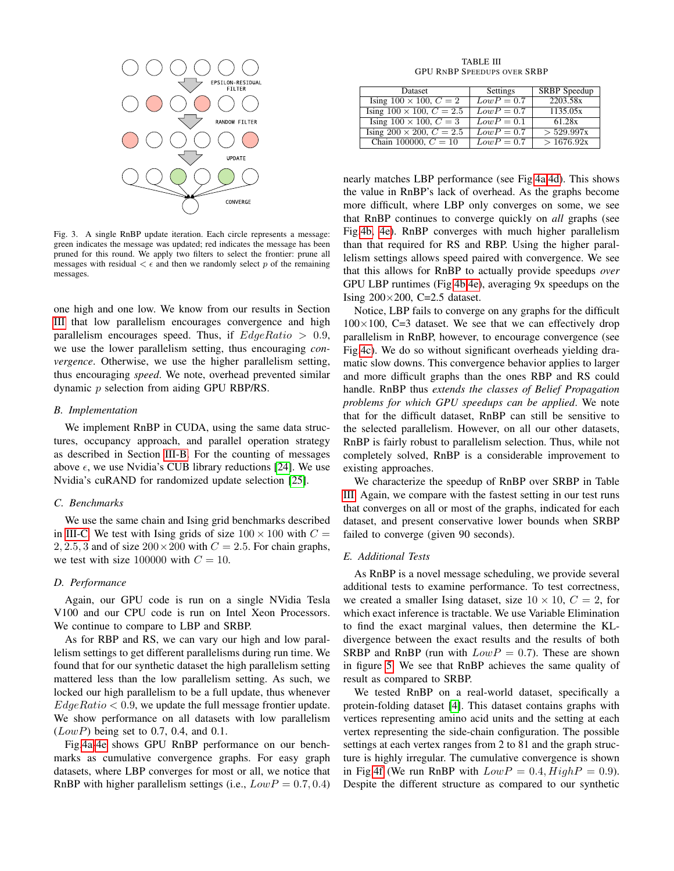

<span id="page-4-0"></span>Fig. 3. A single RnBP update iteration. Each circle represents a message: green indicates the message was updated; red indicates the message has been pruned for this round. We apply two filters to select the frontier: prune all messages with residual  $\lt \epsilon$  and then we randomly select p of the remaining messages.

one high and one low. We know from our results in Section [III](#page-2-2) that low parallelism encourages convergence and high parallelism encourages speed. Thus, if  $EdgeRatio > 0.9$ , we use the lower parallelism setting, thus encouraging *convergence*. Otherwise, we use the higher parallelism setting, thus encouraging *speed*. We note, overhead prevented similar dynamic p selection from aiding GPU RBP/RS.

# *B. Implementation*

We implement RnBP in CUDA, using the same data structures, occupancy approach, and parallel operation strategy as described in Section [III-B.](#page-2-3) For the counting of messages above  $\epsilon$ , we use Nvidia's CUB library reductions [\[24\]](#page-6-23). We use Nvidia's cuRAND for randomized update selection [\[25\]](#page-6-24).

# *C. Benchmarks*

We use the same chain and Ising grid benchmarks described in [III-C.](#page-2-4) We test with Ising grids of size  $100 \times 100$  with  $C =$ 2, 2.5, 3 and of size  $200 \times 200$  with  $C = 2.5$ . For chain graphs, we test with size 100000 with  $C = 10$ .

# *D. Performance*

Again, our GPU code is run on a single NVidia Tesla V100 and our CPU code is run on Intel Xeon Processors. We continue to compare to LBP and SRBP.

As for RBP and RS, we can vary our high and low parallelism settings to get different parallelisms during run time. We found that for our synthetic dataset the high parallelism setting mattered less than the low parallelism setting. As such, we locked our high parallelism to be a full update, thus whenever  $EdgeRatio < 0.9$ , we update the full message frontier update. We show performance on all datasets with low parallelism  $(LowP)$  being set to 0.7, 0.4, and 0.1.

Fig[.4a](#page-5-0)[-4e](#page-5-1) shows GPU RnBP performance on our benchmarks as cumulative convergence graphs. For easy graph datasets, where LBP converges for most or all, we notice that RnBP with higher parallelism settings (i.e.,  $LowP = 0.7, 0.4$ )

TABLE III GPU RNBP SPEEDUPS OVER SRBP

<span id="page-4-1"></span>

| Dataset                            | Settings     | <b>SRBP</b> Speedup |
|------------------------------------|--------------|---------------------|
| Ising $100 \times 100$ , $C = 2$   | $LowP = 0.7$ | 2203.58x            |
| Ising $100 \times 100$ , $C = 2.5$ | $LowP = 0.7$ | 1135.05x            |
| Ising $100 \times 100$ , $C = 3$   | $LowP = 0.1$ | 61.28x              |
| Ising $200 \times 200$ , $C = 2.5$ | $LowP = 0.7$ | > 529.997x          |
| Chain 100000, $C = 10$             | $LowP = 0.7$ | >1676.92x           |

nearly matches LBP performance (see Fig[.4a](#page-5-0)[,4d\)](#page-5-2). This shows the value in RnBP's lack of overhead. As the graphs become more difficult, where LBP only converges on some, we see that RnBP continues to converge quickly on *all* graphs (see Fig[.4b,](#page-5-3) [4e\)](#page-5-1). RnBP converges with much higher parallelism than that required for RS and RBP. Using the higher parallelism settings allows speed paired with convergence. We see that this allows for RnBP to actually provide speedups *over* GPU LBP runtimes (Fig[.4b](#page-5-3)[,4e\)](#page-5-1), averaging 9x speedups on the Ising  $200\times200$ , C=2.5 dataset.

Notice, LBP fails to converge on any graphs for the difficult  $100\times100$ , C=3 dataset. We see that we can effectively drop parallelism in RnBP, however, to encourage convergence (see Fig[.4c\)](#page-5-4). We do so without significant overheads yielding dramatic slow downs. This convergence behavior applies to larger and more difficult graphs than the ones RBP and RS could handle. RnBP thus *extends the classes of Belief Propagation problems for which GPU speedups can be applied*. We note that for the difficult dataset, RnBP can still be sensitive to the selected parallelism. However, on all our other datasets, RnBP is fairly robust to parallelism selection. Thus, while not completely solved, RnBP is a considerable improvement to existing approaches.

We characterize the speedup of RnBP over SRBP in Table [III.](#page-4-1) Again, we compare with the fastest setting in our test runs that converges on all or most of the graphs, indicated for each dataset, and present conservative lower bounds when SRBP failed to converge (given 90 seconds).

#### *E. Additional Tests*

As RnBP is a novel message scheduling, we provide several additional tests to examine performance. To test correctness, we created a smaller Ising dataset, size  $10 \times 10$ ,  $C = 2$ , for which exact inference is tractable. We use Variable Elimination to find the exact marginal values, then determine the KLdivergence between the exact results and the results of both SRBP and RnBP (run with  $LowP = 0.7$ ). These are shown in figure [5.](#page-5-5) We see that RnBP achieves the same quality of result as compared to SRBP.

We tested RnBP on a real-world dataset, specifically a protein-folding dataset [\[4\]](#page-6-3). This dataset contains graphs with vertices representing amino acid units and the setting at each vertex representing the side-chain configuration. The possible settings at each vertex ranges from 2 to 81 and the graph structure is highly irregular. The cumulative convergence is shown in Fig[.4f](#page-5-6) (We run RnBP with  $LowP = 0.4$ ,  $HighP = 0.9$ ). Despite the different structure as compared to our synthetic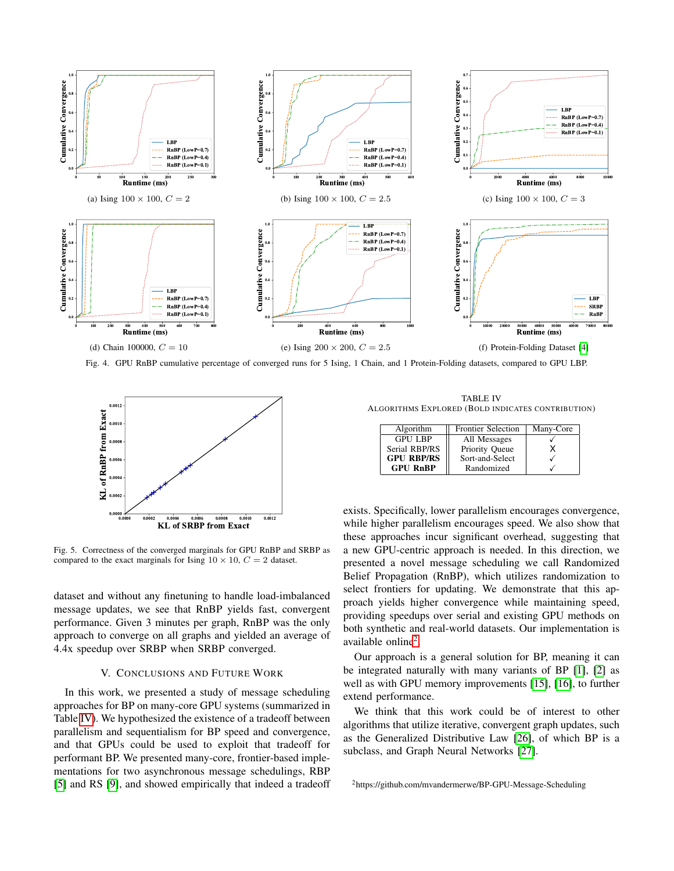<span id="page-5-3"></span><span id="page-5-0"></span>

<span id="page-5-2"></span>Fig. 4. GPU RnBP cumulative percentage of converged runs for 5 Ising, 1 Chain, and 1 Protein-Folding datasets, compared to GPU LBP.



<span id="page-5-5"></span>Fig. 5. Correctness of the converged marginals for GPU RnBP and SRBP as compared to the exact marginals for Ising  $10 \times 10$ ,  $C = 2$  dataset.

dataset and without any finetuning to handle load-imbalanced message updates, we see that RnBP yields fast, convergent performance. Given 3 minutes per graph, RnBP was the only approach to converge on all graphs and yielded an average of 4.4x speedup over SRBP when SRBP converged.

# V. CONCLUSIONS AND FUTURE WORK

In this work, we presented a study of message scheduling approaches for BP on many-core GPU systems (summarized in Table [IV\)](#page-5-7). We hypothesized the existence of a tradeoff between parallelism and sequentialism for BP speed and convergence, and that GPUs could be used to exploit that tradeoff for performant BP. We presented many-core, frontier-based implementations for two asynchronous message schedulings, RBP [\[5\]](#page-6-4) and RS [\[9\]](#page-6-8), and showed empirically that indeed a tradeoff

<span id="page-5-7"></span><span id="page-5-6"></span><span id="page-5-4"></span><span id="page-5-1"></span>TABLE IV ALGORITHMS EXPLORED (BOLD INDICATES CONTRIBUTION)

| Algorithm         | <b>Frontier Selection</b> | Many-Core |
|-------------------|---------------------------|-----------|
| <b>GPU LBP</b>    | All Messages              |           |
| Serial RBP/RS     | Priority Queue            |           |
| <b>GPU RBP/RS</b> | Sort-and-Select           |           |
| <b>GPU RnBP</b>   | Randomized                |           |

exists. Specifically, lower parallelism encourages convergence, while higher parallelism encourages speed. We also show that these approaches incur significant overhead, suggesting that a new GPU-centric approach is needed. In this direction, we presented a novel message scheduling we call Randomized Belief Propagation (RnBP), which utilizes randomization to select frontiers for updating. We demonstrate that this approach yields higher convergence while maintaining speed, providing speedups over serial and existing GPU methods on both synthetic and real-world datasets. Our implementation is available online<sup>[2](#page-5-8)</sup>.

Our approach is a general solution for BP, meaning it can be integrated naturally with many variants of BP [\[1\]](#page-6-0), [\[2\]](#page-6-1) as well as with GPU memory improvements [\[15\]](#page-6-14), [\[16\]](#page-6-15), to further extend performance.

We think that this work could be of interest to other algorithms that utilize iterative, convergent graph updates, such as the Generalized Distributive Law [\[26\]](#page-6-25), of which BP is a subclass, and Graph Neural Networks [\[27\]](#page-6-26).

<span id="page-5-8"></span><sup>2</sup>https://github.com/mvandermerwe/BP-GPU-Message-Scheduling